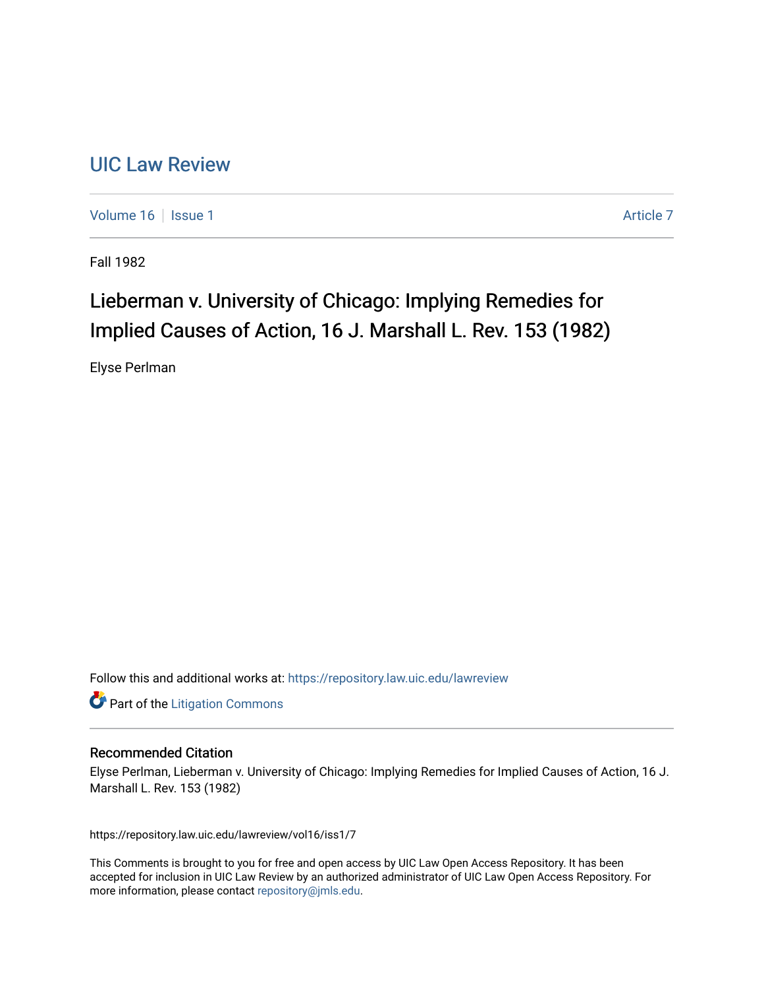## [UIC Law Review](https://repository.law.uic.edu/lawreview)

[Volume 16](https://repository.law.uic.edu/lawreview/vol16) | [Issue 1](https://repository.law.uic.edu/lawreview/vol16/iss1) Article 7

Fall 1982

# Lieberman v. University of Chicago: Implying Remedies for Implied Causes of Action, 16 J. Marshall L. Rev. 153 (1982)

Elyse Perlman

Follow this and additional works at: [https://repository.law.uic.edu/lawreview](https://repository.law.uic.edu/lawreview?utm_source=repository.law.uic.edu%2Flawreview%2Fvol16%2Fiss1%2F7&utm_medium=PDF&utm_campaign=PDFCoverPages) 

**Part of the [Litigation Commons](http://network.bepress.com/hgg/discipline/910?utm_source=repository.law.uic.edu%2Flawreview%2Fvol16%2Fiss1%2F7&utm_medium=PDF&utm_campaign=PDFCoverPages)** 

#### Recommended Citation

Elyse Perlman, Lieberman v. University of Chicago: Implying Remedies for Implied Causes of Action, 16 J. Marshall L. Rev. 153 (1982)

https://repository.law.uic.edu/lawreview/vol16/iss1/7

This Comments is brought to you for free and open access by UIC Law Open Access Repository. It has been accepted for inclusion in UIC Law Review by an authorized administrator of UIC Law Open Access Repository. For more information, please contact [repository@jmls.edu.](mailto:repository@jmls.edu)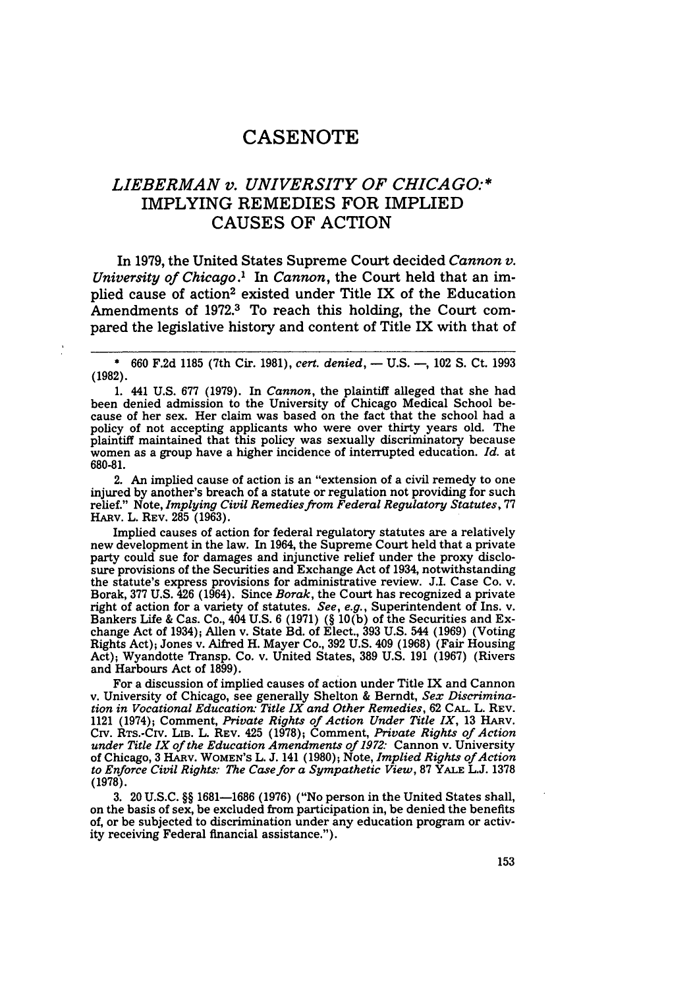### **CASENOTE**

## *LIEBERMAN v. UNIVERSITY OF CHICAGO:\** IMPLYING REMEDIES FOR IMPLIED **CAUSES** OF ACTION

In **1979,** the United States Supreme Court decided *Cannon v. University of Chicago.'* In *Cannon,* the Court held that an implied cause of action<sup>2</sup> existed under Title IX of the Education Amendments of 1972.<sup>3</sup> To reach this holding, the Court compared the legislative history and content of Title IX with that of

\* 660 F.2d 1185 (7th Cir. 1981), *cert. denied,* **-** U.S. **-,** 102 S. Ct. 1993 **(1982).**

**1.** 441 **U.S. 677 (1979).** In *Cannon,* the plaintiff alleged that she had been denied admission to the University of Chicago Medical School be-<br>cause of her sex. Her claim was based on the fact that the school had a cause of her sex. Her claim was based on the fact that the school had a policy of not accepting applicants who were over thirty years old. The plaintiff maintained that this policy was sexually discriminatory because women as a group have a higher incidence of interrupted education. *Id.* at 680-81.

2. An implied cause of action is an "extension of a civil remedy to one injured by another's breach of a statute or regulation not providing for such relief." Note, *Implying Civil Remedies from Federal Regulatory Statutes,* <sup>77</sup> **HARv.** L. REV. **285** (1963).

Implied causes of action for federal regulatory statutes are a relatively new development in the law. In 1964, the Supreme Court held that a private party could sue for damages and injunctive relief under the proxy disclosure provisions of the Securities and Exchange Act of 1934, notwithstanding the statute's express provisions for administrative review. J.I. Case Co. v. Borak, 377 U.S. 426 (1964). Since *Borak,* the Court has recognized a private right of action for a variety of statutes. *See, e.g.,* Superintendent of Ins. v. Bankers Life & Cas. Co., 404 U.S. 6 (1971) (§ 10(b) of the Securities and Exchange Act of 1934); Allen v. State Bd. of Elect., 393 U.S. 544 (1969) (Voting Rights Act); Jones v. Alfred H. Mayer Co., 392 U.S. 409 (1968) (Fair Housing Act); Wyandotte Transp. Co. v. United States, 389 U.S. 191 (1967) (Rivers and Harbours Act of 1899).

For a discussion of implied causes of action under Title IX and Cannon v. University of Chicago, see generally Shelton & Berndt, *Sex Discrimination in Vocational Education: Title IX and Other Remedies,* <sup>62</sup>**CAL.** L. REV. 1121 (1974); Comment, *Private Rights of Action Under Title IX*, 13 HARV. CIrv. RTS.-CIV. LIB. L. REV. 425 (1978); Comment, *Private Rights of Action under Title IX of the Education Amendments of 1972:* Cannon v. University of Chicago, 3 HARV. WOMEN'S L. J. 141 (1980); Note, *Implied Rights of Action to Enforce Civil Rights: The Case for a Sympathetic View,* **87 YALE L.J.** <sup>1378</sup> **(1978).**

**3.** 20 **U.S.C.** §§ **1681-1686 (1976)** ("No person in the United States shall, on the basis of sex, be excluded from participation in, be denied the benefits of, or be subjected to discrimination under any education program or activity receiving Federal financial assistance.").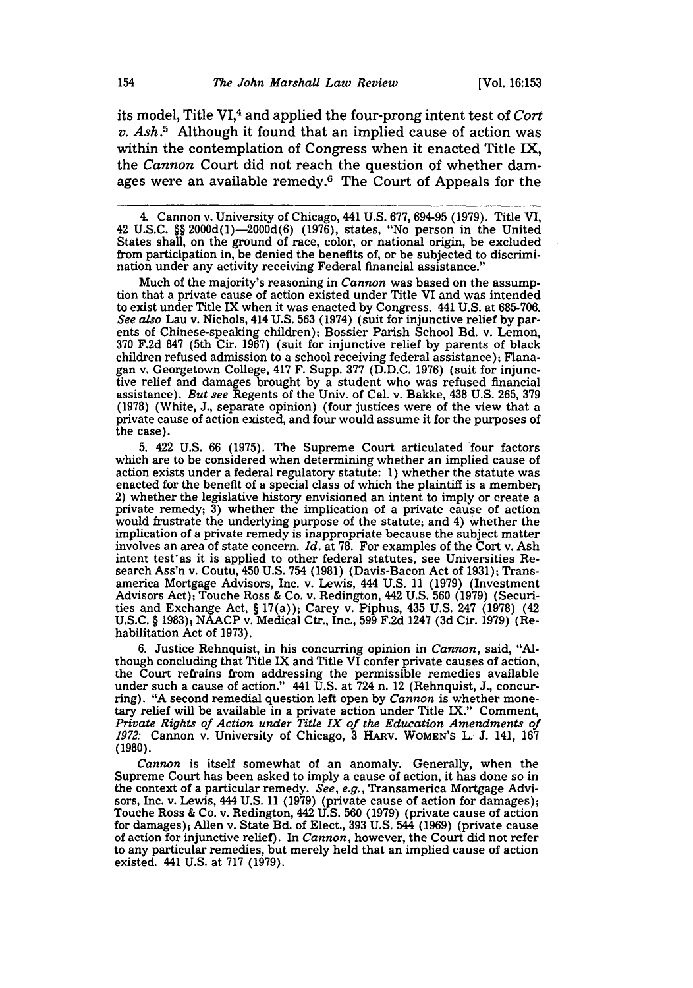its model, Title VI,4 and applied the four-prong intent test of *Cort v. Ash.5* Although it found that an implied cause of action was within the contemplation of Congress when it enacted Title IX, the *Cannon* Court did not reach the question of whether damages were an available remedy.6 The Court of Appeals for the

Much of the majority's reasoning in *Cannon* was based on the assumption that a private cause of action existed under Title VI and was intended to exist under Title IX when it was enacted by Congress. 441 U.S. at 685-706. *See also* Lau v. Nichols, 414 U.S. 563 (1974) (suit for injunctive relief by parents of Chinese-speaking children); Bossier Parish School Bd. v. Lemon, 370 F.2d 847 (5th Cir. 1967) (suit for injunctive relief by parents of black children refused admission to a school receiving federal assistance); Flanagan v. Georgetown College, 417 F. Supp. 377 (D.D.C. 1976) (suit for injunctive relief and damages brought by a student who was refused financial assistance). *But see* Regents of the Univ. of Cal. v. Bakke, 438 U.S. 265, 379 (1978) (White, J., separate opinion) (four justices were of the view that a private cause of action existed, and four would assume it for the purposes of the case).

5. 422 U.S. 66 (1975). The Supreme Court articulated four factors which are to be considered when determining whether an implied cause of action exists under a federal regulatory statute: 1) whether the statute was enacted for the benefit of a special class of which the plaintiff is a member; 2) whether the legislative history envisioned an intent to imply or create a private remedy;  $\overline{3}$ ) whether the implication of a private cause of action would frustrate the underlying purpose of the statute; and 4) whether the implication of a private remedy is inappropriate because the subject matter involves an area of state concern. *Id.* at 78. For examples of the Cort v. Ash intent test as it is applied to other federal statutes, see Universities Research Ass'n v. Coutu, 450 U.S. 754 (1981) (Davis-Bacon Act of 1931); Transamerica Mortgage Advisors, Inc. v. Lewis, 444 U.S. 11 (1979) (Investment Advisors Act); Touche Ross & Co. v. Redington, 442 U.S. 560 (1979) (Securities and Exchange Act, § 17(a)); Carey v. Piphus, 435 U.S. 247 (1978) (42 U.S.C. § 1983); NAACP v. Medical Ctr., Inc., 599 F.2d 1247 (3d Cir. 1979) (Rehabilitation Act of 1973).

6. Justice Rehnquist, in his concurring opinion in *Cannon,* said, "Although concluding that Title IX and Title VI confer private causes of action, the Court refrains from addressing the permissible remedies available under such a cause of action." 441 U.S. at 724 n. 12 (Rehnquist, J., concurring). "A second remedial question left open by *Cannon* is whether monetary relief will be available in a private action under Title IX." Comment, *Private Rights of Action under Title IX of the Education Amendments of 1972:* Cannon v. University of Chicago, **3** HARV. WOMEN'S L. J. 141, 167 **(1980).**

*Cannon* is itself somewhat of an anomaly. Generally, when the Supreme Court has been asked to imply a cause of action, it has done so in the context of a particular remedy. *See, e.g.,* Transamerica Mortgage Advisors, Inc. v. Lewis, 444 U.S. 11 (1979) (private cause of action for damages); Touche Ross & Co. v. Redington, 442 U.S. **560** (1979) (private cause of action for damages); Allen v. State Bd. of Elect., **393** U.S. 544 (1969) (private cause of action for injunctive relief). In *Cannon,* however, the Court did not refer to any particular remedies, but merely held that an implied cause of action existed. 441 U.S. at **717** (1979).

<sup>4.</sup> Cannon v. University of Chicago, 441 U.S. 677, 694-95 (1979). Title VI, 42 U.S.C. §§ 2000d(l)-2000d(6) (1976), states, "No person in the United States shall, on the ground of race, color, or national origin, be excluded from participation in, be denied the benefits of, or be subjected to discrimination under any activity receiving Federal financial assistance."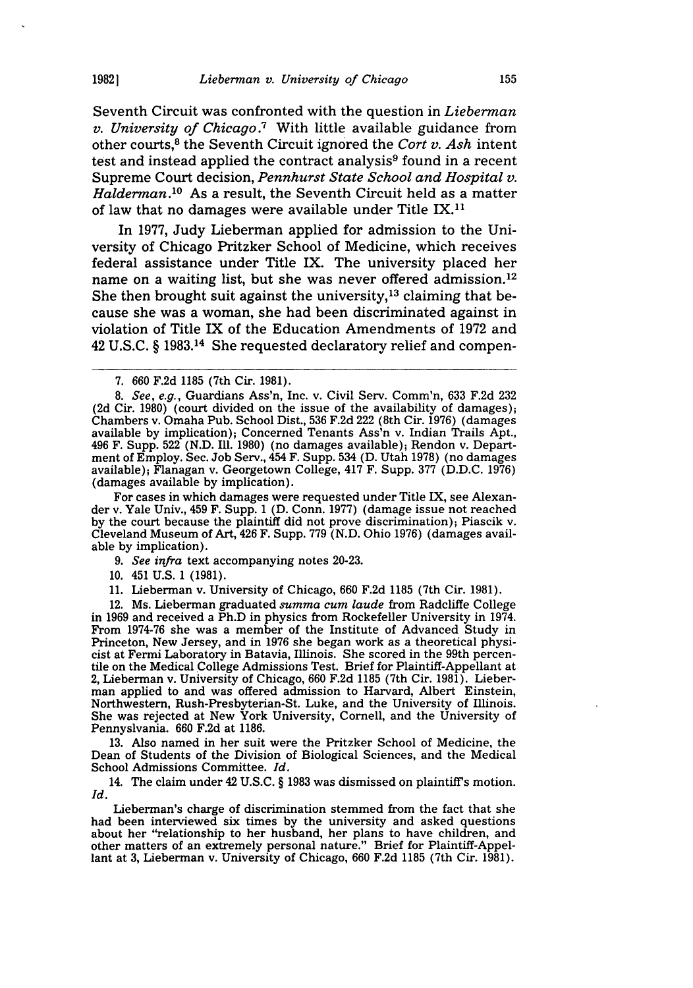Seventh Circuit was confronted with the question in *Lieberman v. University of Chicago.7* With little available guidance from other courts, 8 the Seventh Circuit ignored the *Cort v. Ash* intent test and instead applied the contract analysis $9$  found in a recent Supreme Court decision, *Pennhurst State School and Hospital v. Haldernan.10* As a result, the Seventh Circuit held as a matter of law that no damages were available under Title IX.11

In 1977, Judy Lieberman applied for admission to the University of Chicago Pritzker School of Medicine, which receives federal assistance under Title IX. The university placed her name on a waiting list, but she was never offered admission.<sup>12</sup> She then brought suit against the university,<sup>13</sup> claiming that because she was a woman, she had been discriminated against in violation of Title IX of the Education Amendments of 1972 and 42 U.S.C. § 1983.14 She requested declaratory relief and compen-

For cases in which damages were requested under Title IX, see Alexander v. Yale Univ., 459 F. Supp. 1 **(D.** Conn. 1977) (damage issue not reached by the court because the plaintiff did not prove discrimination); Piascik v. Cleveland Museum of Art, 426 F. Supp. 779 (N.D. Ohio 1976) (damages available by implication).

- *9. See infra* text accompanying notes 20-23.
- 10. 451 U.S. 1 (1981).
- 11. Lieberman v. University of Chicago, 660 F.2d 1185 (7th Cir. 1981).

12. Ms. Lieberman graduated *summa cum laude* from Radcliffe College in 1969 and received a Ph.D in physics from Rockefeller University in 1974. From 1974-76 she was a member of the Institute of Advanced Study in Princeton, New Jersey, and in 1976 she began work as a theoretical physicist at Fermi Laboratory in Batavia, Illinois. She scored in the 99th percentile on the Medical College Admissions Test. Brief for Plaintiff-Appellant at 2, Lieberman v. University of Chicago, 660 F.2d 1185 (7th Cir. 1981). Lieberman applied to and was offered admission to Harvard, Albert Einstein, Northwestern, Rush-Presbyterian-St. Luke, and the University of Illinois. She was rejected at New York University, Cornell, and the University of Pennyslvania. 660 F.2d at 1186.

13. Also named in her suit were the Pritzker School of Medicine, the Dean of Students of the Division of Biological Sciences, and the Medical School Admissions Committee. *Id.*

14. The claim under 42 U.S.C. § 1983 was dismissed on plaintiff's motion. *Id.*

Lieberman's charge of discrimination stemmed from the fact that she had been interviewed six times by the university and asked questions about her "relationship to her husband, her plans to have children, and other matters of an extremely personal nature." Brief for Plaintiff-Appellant at 3, Lieberman v. University of Chicago, 660 F.2d 1185 (7th Cir. 1981).

<sup>7. 660</sup> F.2d 1185 (7th Cir. 1981).

*<sup>8.</sup> See, e.g.,* Guardians Ass'n, Inc. v. Civil Serv. Comm'n, 633 F.2d 232 **(2d** Cir. 1980) (court divided on the issue of the availability of damages); Chambers v. Omaha Pub. School Dist., 536 F.2d 222 (8th Cir. 1976) (damages available by implication); Concerned Tenants Ass'n v. Indian Trails Apt., 496 F. Supp. 522 (N.D. Ill. 1980) (no damages available); Rendon v. Department of Employ. Sec. Job Serv., 454 F. Supp. 534 (D. Utah 1978) (no damages available); Flanagan v. Georgetown College, 417 F. Supp. 377 (D.D.C. 1976) (damages available by implication).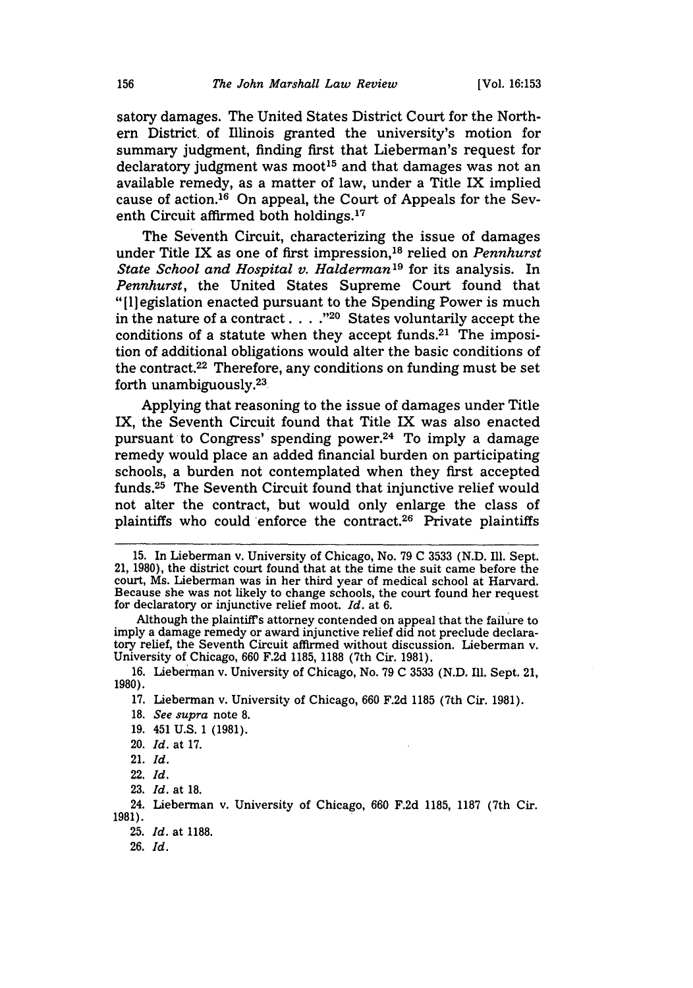satory damages. The United States District Court for the Northern District. of Illinois granted the university's motion for summary judgment, finding first that Lieberman's request for declaratory judgment was moot<sup>15</sup> and that damages was not an available remedy, as a matter of law, under a Title IX implied cause of action. 16 On appeal, the Court of Appeals for the Seventh Circuit affirmed both holdings.<sup>17</sup>

The Seventh Circuit, characterizing the issue of damages under Title IX as one of first impression, 18 relied on *Pennhurst State School and Hospital v. Halderman'9* for its analysis. In *Pennhurst,* the United States Supreme Court found that "[Iegislation enacted pursuant to the Spending Power is much in the nature of a contract . . . .<sup>"20</sup> States voluntarily accept the conditions of a statute when they accept funds.<sup>21</sup> The imposition of additional obligations would alter the basic conditions of the contract.22 Therefore, any conditions on funding must be set forth unambiguously.<sup>23</sup>

Applying that reasoning to the issue of damages under Title IX, the Seventh Circuit found that Title IX was also enacted pursuant to Congress' spending power.24 To imply a damage remedy would place an added financial burden on participating schools, a burden not contemplated when they first accepted funds.<sup>25</sup> The Seventh Circuit found that injunctive relief would not alter the contract, but would only enlarge the class of plaintiffs who could enforce the contract.<sup>26</sup> Private plaintiffs

<sup>15.</sup> In Lieberman v. University of Chicago, No. 79 C 3533 (N.D. Ill. Sept. 21, 1980), the district court found that at the time the suit came before the court, Ms. Lieberman was in her third year of medical school at Harvard. Because she was not likely to change schools, the court found her request for declaratory or injunctive relief moot. *Id.* at 6.

Although the plaintiffs attorney contended on appeal that the failure to imply a damage remedy or award injunctive relief did not preclude declaratory relief, the Seventh Circuit affirmed without discussion. Lieberman v. University of Chicago, 660 F.2d 1185, 1188 (7th Cir. 1981).

<sup>16.</sup> Lieberman v. University of Chicago, No. 79 C 3533 (N.D. Ill. Sept. 21, **1980).**

**<sup>17.</sup>** Lieberman v. University of Chicago, **660 F.2d 1185** (7th Cir. **1981).**

**<sup>18.</sup>** See *supra* note **8.**

<sup>19. 451</sup> U.S. 1 (1981).

<sup>20.</sup> Id. at 17.

<sup>21.</sup> *Id.*

<sup>22.</sup> Id.

<sup>23.</sup> Id. at 18.

<sup>24.</sup> Lieberman v. University of Chicago, 660 F.2d 1185, 1187 (7th Cir. **1981).**

<sup>25.</sup> Id. at 1188.

<sup>26.</sup> Id.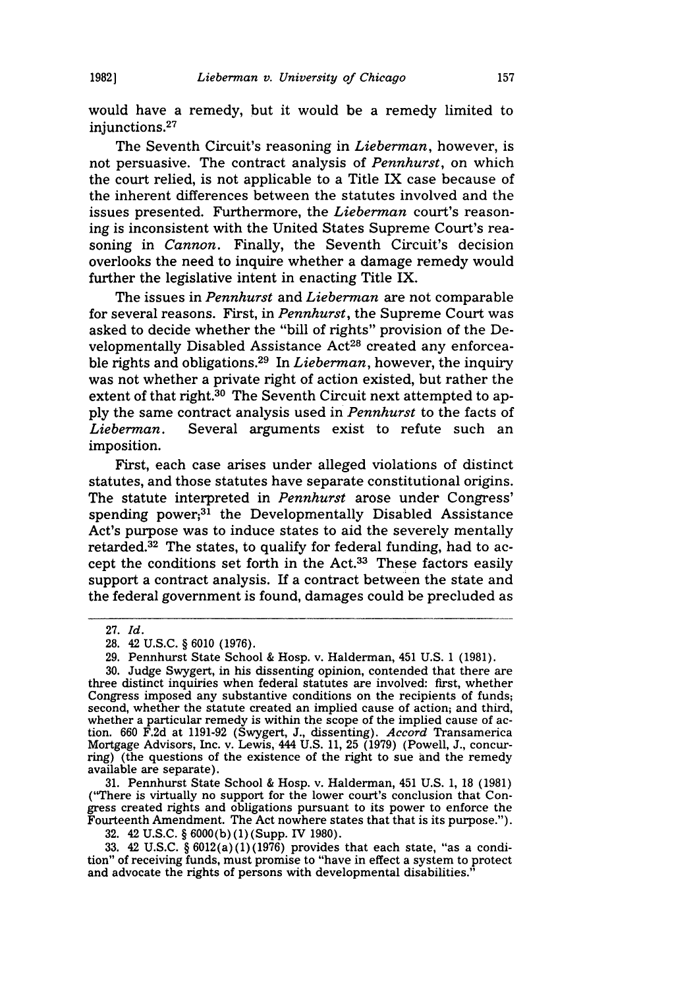would have a remedy, but it would be a remedy limited to injunctions.<sup>27</sup>

The Seventh Circuit's reasoning in *Lieberman,* however, is not persuasive. The contract analysis of *Pennhurst,* on which the court relied, is not applicable to a Title IX case because of the inherent differences between the statutes involved and the issues presented. Furthermore, the *Lieberman* court's reasoning is inconsistent with the United States Supreme Court's reasoning in *Cannon*. Finally, the Seventh Circuit's decision overlooks the need to inquire whether a damage remedy would further the legislative intent in enacting Title IX.

The issues in *Pennhurst* and *Lieberman* are not comparable for several reasons. First, in *Pennhurst,* the Supreme Court was asked to decide whether the "bill of rights" provision of the Developmentally Disabled Assistance Act<sup>28</sup> created any enforceable rights and obligations.29 In *Lieberman,* however, the inquiry was not whether a private right of action existed, but rather the extent of that right.<sup>30</sup> The Seventh Circuit next attempted to apply the same contract analysis used in *Pennhurst* to the facts of *Lieberman.* Several arguments exist to refute such an imposition.

First, each case arises under alleged violations of distinct statutes, and those statutes have separate constitutional origins. The statute interpreted in *Pennhurst* arose under Congress' spending power; $3\overline{1}$  the Developmentally Disabled Assistance Act's purpose was to induce states to aid the severely mentally retarded. $32$  The states, to qualify for federal funding, had to accept the conditions set forth in the Act.<sup>33</sup> These factors easily support a contract analysis. If a contract between the state and the federal government is found, damages could be precluded as

31. Pennhurst State School & Hosp. v. Halderman, 451 U.S. 1, 18 (1981) ("There is virtually no support for the lower court's conclusion that Congress created rights and obligations pursuant to its power to enforce the Fourteenth Amendment. The Act nowhere states that that is its purpose.").

32. 42 U.S.C. § 6000(b)(1)(Supp. IV 1980).

33. 42 U.S.C. § 6012(a)(1)(1976) provides that each state, "as a condition" of receiving funds, must promise to "have in effect a system to protect and advocate the rights of persons with developmental disabilities."

<sup>27.</sup> *Id.*

**<sup>28.</sup>** 42 **U.S.C.** § 6010 **(1976).**

<sup>29.</sup> Pennhurst State School **&** Hosp. v. Halderman, 451 U.S. 1 (1981).

<sup>30.</sup> Judge Swygert, in his dissenting opinion, contended that there are three distinct inquiries when federal statutes are involved: first, whether Congress imposed any substantive conditions on the recipients of funds; second, whether the statute created an implied cause of action; and third, whether a particular remedy is within the scope of the implied cause of action. 660 F.2d at 1191-92 (Swygert, J., dissenting). *Accord* Transamerica Mortgage Advisors, Inc. v. Lewis, 444 U.S. 11, 25 (1979) (Powell, J., concurring) (the questions of the existence of the right to sue and the remedy available are separate).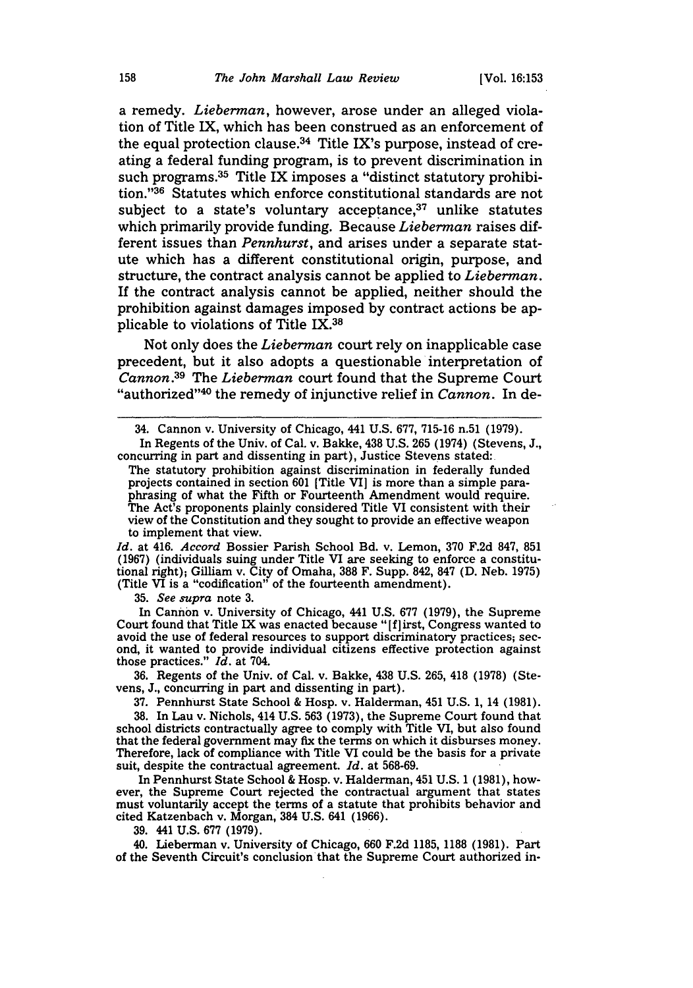a remedy. *Lieberman,* however, arose under an alleged violation of Title IX, which has been construed as an enforcement of the equal protection clause. $34$  Title IX's purpose, instead of creating a federal funding program, is to prevent discrimination in such programs. $35$  Title IX imposes a "distinct statutory prohibition. '36 Statutes which enforce constitutional standards are not subject to a state's voluntary acceptance, $37$  unlike statutes which primarily provide funding. Because *Lieberman* raises different issues than *Pennhurst,* and arises under a separate statute which has a different constitutional origin, purpose, and structure, the contract analysis cannot be applied to *Lieberman.* If the contract analysis cannot be applied, neither should the prohibition against damages imposed by contract actions be applicable to violations of Title IX. <sup>38</sup>

Not only does the *Lieberman* court rely on inapplicable case precedent, but it also adopts a questionable interpretation of *Cannon.39* The *Lieberman* court found that the Supreme Court "authorized"<sup>40</sup> the remedy of injunctive relief in *Cannon*. In de-

In Regents of the Univ. of Cal. v. Bakke, 438 U.S. 265 (1974) (Stevens, J., concurring in part and dissenting in part), Justice Stevens stated:

The statutory prohibition against discrimination in federally funded projects contained in section 601 [Title VI] is more than a simple paraphrasing of what the Fifth or Fourteenth Amendment would require. The Act's proponents plainly considered Title VI consistent with their view of the Constitution and they sought to provide an effective weapon to implement that view.

*Id.* at 416. *Accord* Bossier Parish School Bd. v. Lemon, 370 F.2d 847, **851** (1967) (individuals suing under Title VI are seeking to enforce a constitutional right); Gilliam v. City of Omaha, 388 F. Supp. 842, 847 **(D.** Neb. 1975) (Title VI is a "codification" of the fourteenth amendment).

35. *See supra* note 3.

In Cannon v. University of Chicago, 441 U.S. 677 (1979), the Supreme Court found that Title IX was enacted because "[f] irst, Congress wanted to avoid the use of federal resources to support discriminatory practices; second, it wanted to provide individual citizens effective protection against those practices." *Id.* at 704.

36. Regents of the Univ. of Cal. v. Bakke, 438 U.S. 265, 418 (1978) (Stevens, **J.,** concurring in part and dissenting in part).

**37.** Pennhurst State School **&** Hosp. v. Halderman, 451 U.S. 1, 14 (1981).

**38.** In Lau v. Nichols, 414 U.S. **563** (1973), the Supreme Court found that school districts contractually agree to comply with Title VI, but also found that the federal government may fix the terms on which it disburses money. Therefore, lack of compliance with Title VI could be the basis for a private suit, despite the contractual agreement. *Id.* at 568-69.

In Pennhurst State School & Hosp. v. Halderman, 451 U.S. 1 (1981), however, the Supreme Court rejected the contractual argument that states must voluntarily accept the terms of a statute that prohibits behavior and cited Katzenbach v. Morgan, 384 U.S. 641 (1966).

**39.** 441 U.S. **677 (1979).**

40. Lieberman v. University of Chicago, **660** F.2d 1185, **1188** (1981). Part of the Seventh Circuit's conclusion that the Supreme Court authorized in-

<sup>34.</sup> Cannon v. University of Chicago, 441 U.S. 677, 715-16 n.51 (1979).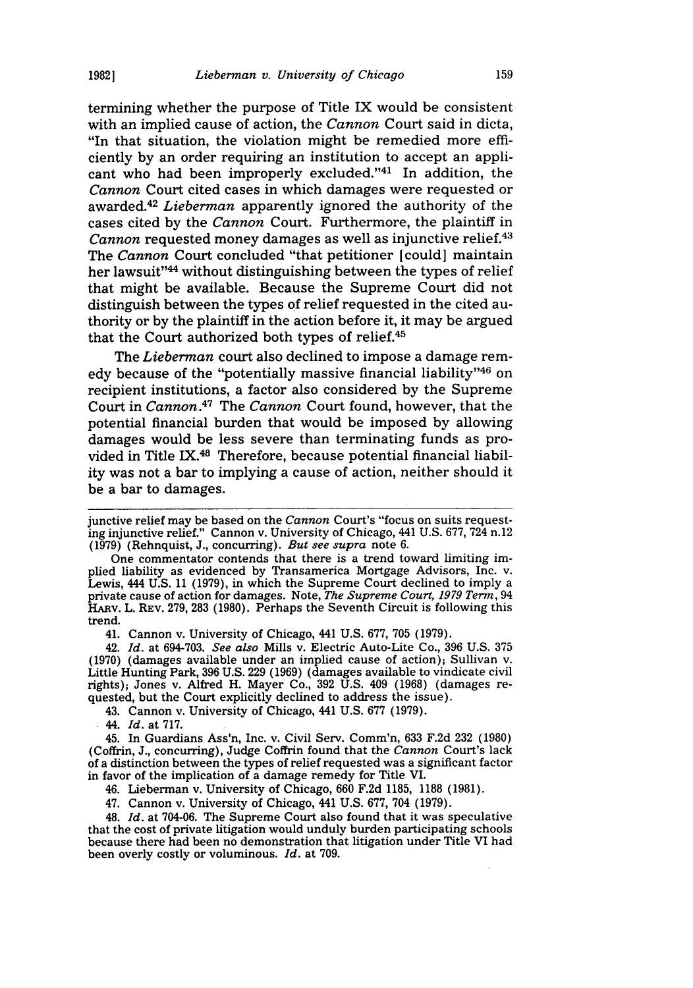termining whether the purpose of Title IX would be consistent with an implied cause of action, the *Cannon* Court said in dicta, "In that situation, the violation might be remedied more efficiently by an order requiring an institution to accept an applicant who had been improperly excluded."41 In addition, the *Cannon* Court cited cases in which damages were requested or awarded. <sup>42</sup>*Lieberman* apparently ignored the authority of the cases cited by the *Cannon* Court. Furthermore, the plaintiff in *Cannon* requested money damages as well as injunctive relief.<sup>43</sup> The *Cannon* Court concluded "that petitioner [could] maintain her lawsuit"<sup>44</sup> without distinguishing between the types of relief that might be available. Because the Supreme Court did not distinguish between the types of relief requested in the cited authority or by the plaintiff in the action before it, it may be argued that the Court authorized both types of relief.<sup>45</sup>

The *Lieberman* court also declined to impose a damage remedy because of the "potentially massive financial liability"46 on recipient institutions, a factor also considered by the Supreme Court in *Cannon.47* The *Cannon* Court found, however, that the potential financial burden that would be imposed by allowing damages would be less severe than terminating funds as provided in Title IX.48 Therefore, because potential financial liability was not a bar to implying a cause of action, neither should it be a bar to damages.

One commentator contends that there is a trend toward limiting implied liability as evidenced by Transamerica Mortgage Advisors, Inc. v. Lewis, 444 U.S. 11 (1979), in which the Supreme Court declined to imply a private cause of action for damages. Note, *The Supreme Court, 1979 Term,* <sup>94</sup> HARv. L. REV. 279, 283 (1980). Perhaps the Seventh Circuit is following this trend.

41. Cannon v. University of Chicago, 441 U.S. 677, 705 (1979).

42. Id. at 694-703. *See also* Mills v. Electric Auto-Lite Co., 396 U.S. 375 (1970) (damages available under an implied cause of action); Sullivan v. Little Hunting Park, 396 **U.S.** 229 (1969) (damages available to vindicate civil rights); Jones v. Alfred H. Mayer Co., 392 U.S. 409 (1968) (damages requested, but the Court explicitly declined to address the issue).

43. Cannon v. University of Chicago, 441 U.S. 677 (1979).

44. Id. at 717.

45. In Guardians Ass'n, Inc. v. Civil Serv. Comm'n, 633 F.2d 232 (1980) (Coffrin, **J.,** concurring), Judge Coffrin found that the *Cannon* Court's lack of a distinction between the types of relief requested was a significant factor in favor of the implication of a damage remedy for Title VI.

46. Lieberman v. University of Chicago, 660 F.2d 1185, 1188 (1981).

47. Cannon v. University of Chicago, 441 U.S. 677, 704 (1979).

48. *Id.* at 704-06. The Supreme Court also found that it was speculative that the cost of private litigation would unduly burden participating schools because there had been no demonstration that litigation under Title VI had been overly costly or voluminous. *Id.* at 709.

junctive relief may be based on the *Cannon* Court's "focus on suits requesting injunctive relief." Cannon v. University of Chicago, 441 U.S. 677, 724 n.12 (1979) (Rehnquist, J., concurring). *But see supra* note 6.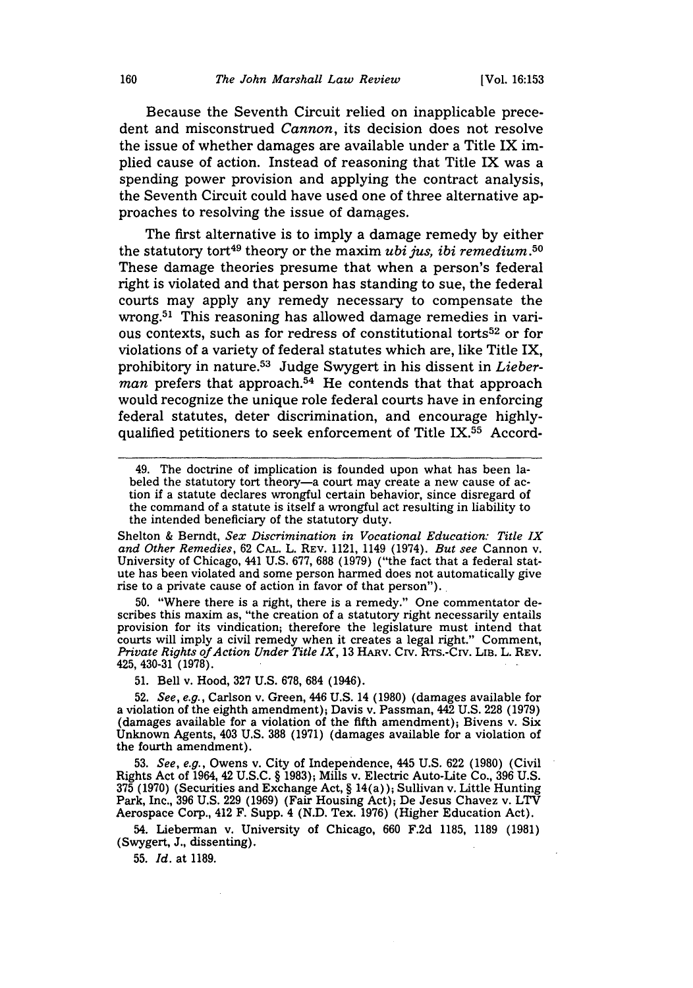Because the Seventh Circuit relied on inapplicable precedent and misconstrued *Cannon,* its decision does not resolve the issue of whether damages are available under a Title IX implied cause of action. Instead of reasoning that Title IX was a spending power provision and applying the contract analysis, the Seventh Circuit could have used one of three alternative approaches to resolving the issue of damages.

The first alternative is to imply a damage remedy by either the statutory tort<sup>49</sup> theory or the maxim *ubi jus, ibi remedium*.<sup>50</sup> These damage theories presume that when a person's federal right is violated and that person has standing to sue, the federal courts may apply any remedy necessary to compensate the wrong.<sup>51</sup> This reasoning has allowed damage remedies in various contexts, such as for redress of constitutional torts52 or for violations of a variety of federal statutes which are, like Title IX, prohibitory in nature.53 Judge Swygert in his dissent in *Lieberman* prefers that approach.<sup>54</sup> He contends that that approach would recognize the unique role federal courts have in enforcing federal statutes, deter discrimination, and encourage highlyqualified petitioners to seek enforcement of Title IX.55 Accord-

Shelton & Berndt, *Sex Discrimination in Vocational Education: Title IX and Other Remedies,* <sup>62</sup>**CAL.** L. REV. 1121, 1149 (1974). *But see* Cannon v. University of Chicago, 441 U.S. 677, 688 (1979) ("the fact that a federal statute has been violated and some person harmed does not automatically give rise to a private cause of action in favor of that person").

50. "Where there is a right, there is a remedy." One commentator describes this maxim as, "the creation of a statutory right necessarily entails provision for its vindication; therefore the legislature must intend that courts will imply a civil remedy when it creates a legal right." Comment, *Private Rights of Action Under Title IX,* 13 HARv. Civ. RTs.-Crv. LIB. L. REV. 425, 430-31 (1978).

51. Bell v. Hood, 327 U.S. 678, 684 (1946).

52. *See, e.g.,* Carlson v. Green, 446 U.S. 14 (1980) (damages available for a violation of the eighth amendment); Davis v. Passman, 442 U.S. 228 (1979) (damages available for a violation of the fifth amendment); Bivens v. Six Unknown Agents, 403 U.S. **388** (1971) (damages available for a violation of the fourth amendment).

53. *See, e.g.,* Owens v. City of Independence, 445 U.S. 622 (1980) (Civil Rights Act of 1964, 42 U.S.C. § 1983); Mills v. Electric Auto-Lite Co., 396 U.S. 375 (1970) (Securities and Exchange Act, § 14(a)); Sullivan v. Little Hunting Park, Inc., 396 U.S. 229 (1969) (Fair Housing Act); De Jesus Chavez v. LTV Aerospace Corp., 412 F. Supp. 4 (N.D. Tex. 1976) (Higher Education Act).

54. Lieberman v. University of Chicago, 660 F.2d 1185, 1189 (1981) (Swygert, **J.,** dissenting).

**55.** *Id.* at **1189.**

<sup>49.</sup> The doctrine of implication is founded upon what has been labeled the statutory tort theory-a court may create a new cause of action if a statute declares wrongful certain behavior, since disregard of the command of a statute is itself a wrongful act resulting in liability to the intended beneficiary of the statutory duty.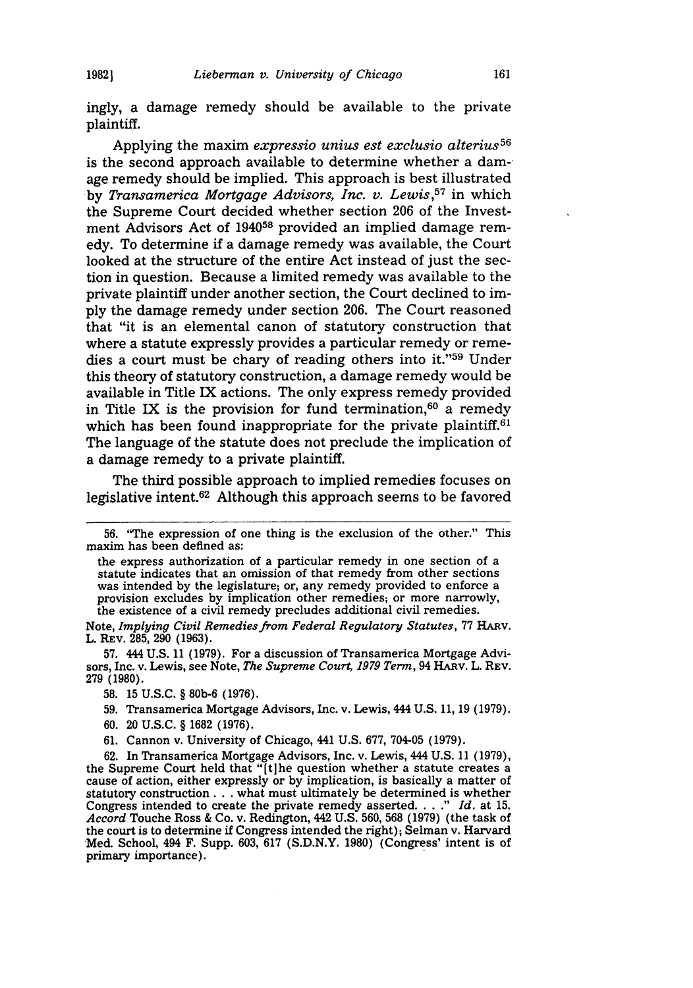ingly, a damage remedy should be available to the private plaintiff.

Applying the maxim *expressio unius est exclusio alterius5 <sup>6</sup>* is the second approach available to determine whether a damage remedy should be implied. This approach is best illustrated by *Transamerica Mortgage Advisors, Inc. v. Lewis,57* in which the Supreme Court decided whether section 206 of the Investment Advisors Act of 194058 provided an implied damage remedy. To determine if a damage remedy was available, the Court looked at the structure of the entire Act instead of just the section in question. Because a limited remedy was available to the private plaintiff under another section, the Court declined to imply the damage remedy under section 206. The Court reasoned that "it is an elemental canon of statutory construction that where a statute expressly provides a particular remedy or remedies a court must be chary of reading others into it."<sup>59</sup> Under this theory of statutory construction, a damage remedy would be available in Title IX actions. The only express remedy provided in Title IX is the provision for fund termination, $60$  a remedy which has been found inappropriate for the private plaintiff.<sup>61</sup> The language of the statute does not preclude the implication of a damage remedy to a private plaintiff.

The third possible approach to implied remedies focuses on legislative intent.62 Although this approach seems to be favored

57. 444 U.S. 11 (1979). For a discussion of Transamerica Mortgage Advisors, Inc. v. Lewis, see Note, *The Supreme Court, 1979 Term,* 94 HARv. L. REv. 279 (1980).

- 60. 20 U.S.C. § 1682 (1976).
- 61. Cannon v. University of Chicago, 441 U.S. 677, 704-05 (1979).

62. In Transamerica Mortgage Advisors, Inc. v. Lewis, 444 U.S. 11 (1979), the Supreme Court held that "[t]he question whether a statute creates a cause of action, either expressly or by implication, is basically a matter of statutory construction **...** what must ultimately be determined is whether Congress intended to create the private remedy asserted. . . **."** *Id.* at 15. *Accord* Touche Ross & Co. v. Redington, 442 U.S. 560, 568 (1979) (the task of the court is to determine if Congress intended the right); Selman v. Harvard Med. School, 494 F. Supp. 603, 617 (S.D.N.Y. 1980) (Congress' intent is of primary importance).

<sup>56. &</sup>quot;The expression of one thing is the exclusion of the other." This maxim has been defined as:

the express authorization of a particular remedy in one section of a statute indicates that an omission of that remedy from other sections was intended by the legislature; or, any remedy provided to enforce a provision excludes by implication other remedies; or more narrowly, the existence of a civil remedy precludes additional civil remedies.

Note, *Implying Civil Remedies from Federal Regulatory Statutes,* 77 HARv. L. REV. 285, 290 (1963).

<sup>58. 15</sup> U.S.C. § 80b-6 (1976).

<sup>59.</sup> Transamerica Mortgage Advisors, Inc. v. Lewis, 444 U.S. 11, 19 (1979).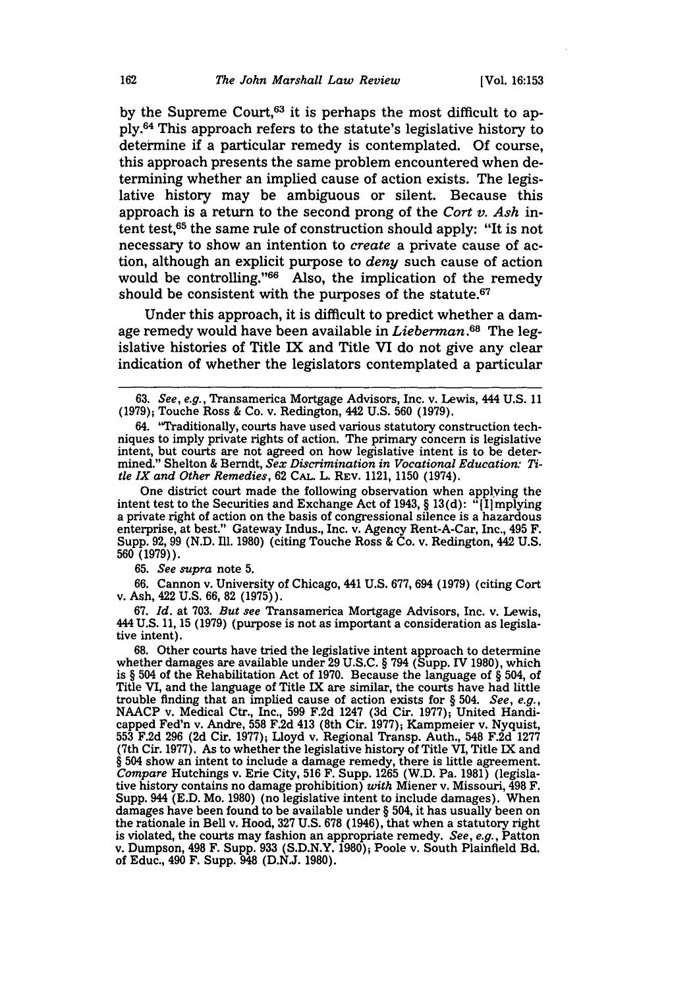by the Supreme Court, $63$  it is perhaps the most difficult to apply.64 This approach refers to the statute's legislative history to determine if a particular remedy is contemplated. Of course, this approach presents the same problem encountered when determining whether an implied cause of action exists. The legislative history may be ambiguous or silent. Because this approach is a return to the second prong of the *Cort v. Ash* intent test,65 the same rule of construction should apply: "It is not necessary to show an intention to *create* a private cause of action, although an explicit purpose to *deny* such cause of action would be controlling."<sup>66</sup> Also, the implication of the remedy should be consistent with the purposes of the statute.<sup>67</sup>

Under this approach, it is difficult to predict whether a damage remedy would have been available in *Lieberman.68* The legislative histories of Title IX and Title VI do not give any clear indication of whether the legislators contemplated a particular

One district court made the following observation when applying the intent test to the Securities and Exchange Act of 1943, § 13(d): " $\hat{I}$ [I]mplying a private right of action on the basis of congressional silence is a hazardous enterprise, at best." Gateway Indus., Inc. v. Agency Rent-A-Car, Inc., 495 F. Supp. 92, 99 (N.D. Ill. 1980) (citing Touche Ross & Co. v. Redington, 442 U.S. 560 **(1979)).**

65. *See supra* note 5.

66. Cannon v. University of Chicago, 441 U.S. 677, 694 (1979) (citing Cort v. Ash, 422 U.S. 66, 82 (1975)).

67. *Id.* at 703. *But see* Transamerica Mortgage Advisors, Inc. v. Lewis, 444 U.S. 11, 15 (1979) (purpose is not as important a consideration as legislative intent).

68. Other courts have tried the legislative intent approach to determine whether damages are available under 29 U.S.C. § 794 (Supp. IV 1980), which is § 504 of the Rehabilitation Act of 1970. Because the language of § 504, of Title VI, and the language of Title IX are similar, the courts have had little trouble finding that an implied cause of action exists for  $\S 504$ . See, e.g., trouble finding that an implied cause of action exists for § 504. *See, e.g.,* **NAACP** v. Medical Ctr., Inc., 599 F.2d 1247 **(3d** Cir. 1977); United Handicapped Fed'n v. Andre, 558 F.2d 413 (8th Cir. 1977); Kampmeier v. Nyquist, 553 F.2d 296 **(2d** Cir. 1977); Lloyd v. Regional Transp. Auth., 548 F.2d 1277 (7th Cir. 1977). As to whether the legislative history of Title VI, Title IX and § 504 show an intent to include a damage remedy, there is little agreement. *Compare* Hutchings v. Erie City, 516 F. Supp. 1265 (W.D. Pa. 1981) (legislative history contains no damage prohibition) *with* Miener v. Missouri, 498 F. Supp. 944 (E.D. Mo. 1980) (no legislative intent to include damages). When damages have been found to be available under § 504, it has usually been on the rationale in Bell v. Hood, 327 U.S. 678 (1946), that when a statutory right is violated, the courts may fashion an appropriate remedy. *See, e.g.,* Patton v. Dumpson, 498 F. Supp. **933** (S.D.N.Y. 1980); Poole v. South Plainfield Bd. of Educ., 490 F. Supp. 948 (D.N.J. 1980).

<sup>63.</sup> *See, e.g.,* Transamerica Mortgage Advisors, Inc. v. Lewis, 444 U.S. 11 (1979); Touche Ross & Co. v. Redington, 442 U.S. 560 (1979).

<sup>64. &</sup>quot;Traditionally, courts have used various statutory construction techniques to imply private rights of action. The primary concern is legislative intent, but courts are not agreed on how legislative intent is to be determined." Shelton & Berndt, *Sex Discrimination in Vocational Education: Title IX and Other Remedies,* 62 **CAL.** L. REV. 1121, 1150 (1974).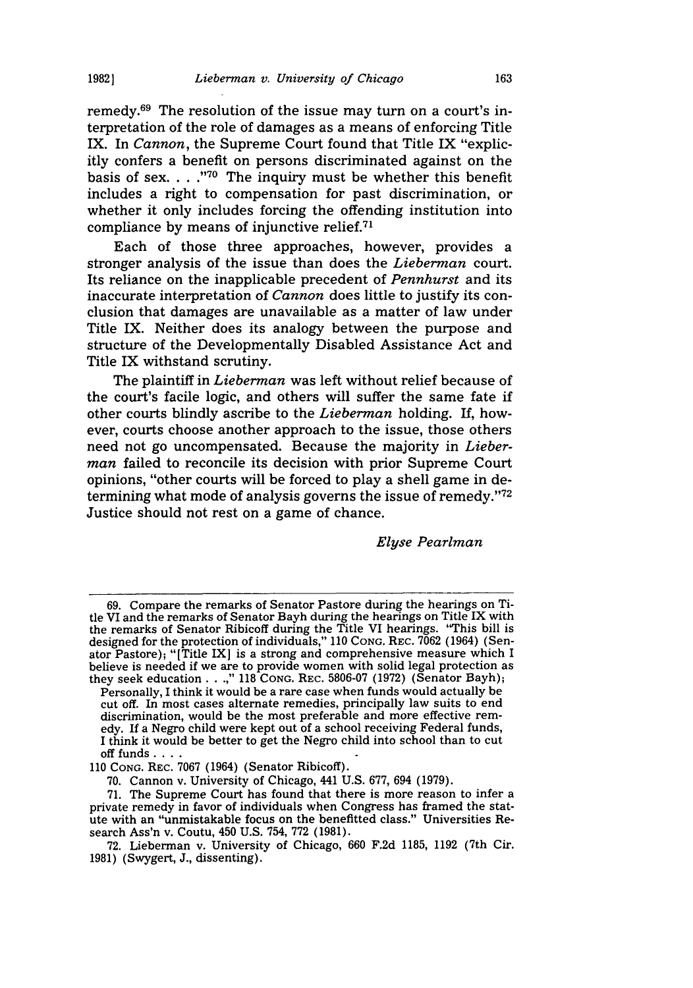remedy. $69$  The resolution of the issue may turn on a court's interpretation of the role of damages as a means of enforcing Title IX. In *Cannon,* the Supreme Court found that Title IX "explicitly confers a benefit on persons discriminated against on the basis of sex. .**.. 70** The inquiry must be whether this benefit includes a right to compensation for past discrimination, or whether it only includes forcing the offending institution into compliance by means of injunctive relief. $71$ 

Each of those three approaches, however, provides a stronger analysis of the issue than does the *Lieberman* court. Its reliance on the inapplicable precedent of *Pennhurst* and its inaccurate interpretation of *Cannon* does little to justify its conclusion that damages are unavailable as a matter of law under Title IX. Neither does its analogy between the purpose and structure of the Developmentally Disabled Assistance Act and Title IX withstand scrutiny.

The plaintiff in *Lieberman* was left without relief because of the court's facile logic, and others will suffer the same fate if other courts blindly ascribe to the *Lieberman* holding. If, however, courts choose another approach to the issue, those others need not go uncompensated. Because the majority in *Lieberman* failed to reconcile its decision with prior Supreme Court opinions, "other courts will be forced to play a shell game in determining what mode of analysis governs the issue of remedy. '72 Justice should not rest on a game of chance.

*Elyse Pearlman*

**19821**

<sup>69.</sup> Compare the remarks of Senator Pastore during the hearings on Title VI and the remarks of Senator Bayh during the hearings on Title IX with the remarks of Senator Ribicoff during the Title VI hearings. 'This bill is designed for the protection of individuals," 110 Cong. REC. 7062 (1964) (Senator Pastore); "[Title IX] is a strong and comprehensive measure which I believe is needed if we are to provide women with solid legal protection as they seek education . **. .," 118 CONG.** REC. 5806-07 (1972) (Senator Bayh);

Personally, I think it would be a rare case when funds would actually be cut off. In most cases alternate remedies, principally law suits to end discrimination, would be the most preferable and more effective remedy. If a Negro child were kept out of a school receiving Federal funds, I think it would be better to get the Negro child into school than to cut off funds ....

*<sup>110</sup>* CONG. REC. 7067 (1964) (Senator Ribicoff).

<sup>70.</sup> Cannon v. University of Chicago, 441 U.S. 677, 694 (1979).

<sup>71.</sup> The Supreme Court has found that there is more reason to infer a private remedy in favor of individuals when Congress has framed the statute with an "unmistakable focus on the benefitted class." Universities Research Ass'n v. Coutu, 450 U.S. 754, 772 (1981).

<sup>72.</sup> Lieberman v. University of Chicago, 660 F.2d 1185, 1192 (7th Cir. 1981) (Swygert, J., dissenting).